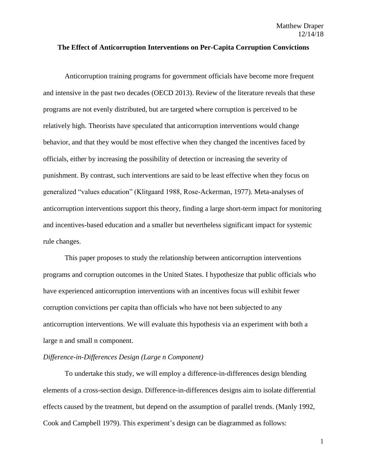### **The Effect of Anticorruption Interventions on Per-Capita Corruption Convictions**

Anticorruption training programs for government officials have become more frequent and intensive in the past two decades (OECD 2013). Review of the literature reveals that these programs are not evenly distributed, but are targeted where corruption is perceived to be relatively high. Theorists have speculated that anticorruption interventions would change behavior, and that they would be most effective when they changed the incentives faced by officials, either by increasing the possibility of detection or increasing the severity of punishment. By contrast, such interventions are said to be least effective when they focus on generalized "values education" (Klitgaard 1988, Rose-Ackerman, 1977). Meta-analyses of anticorruption interventions support this theory, finding a large short-term impact for monitoring and incentives-based education and a smaller but nevertheless significant impact for systemic rule changes.

This paper proposes to study the relationship between anticorruption interventions programs and corruption outcomes in the United States. I hypothesize that public officials who have experienced anticorruption interventions with an incentives focus will exhibit fewer corruption convictions per capita than officials who have not been subjected to any anticorruption interventions. We will evaluate this hypothesis via an experiment with both a large n and small n component.

### *Difference-in-Differences Design (Large n Component)*

To undertake this study, we will employ a difference-in-differences design blending elements of a cross-section design. Difference-in-differences designs aim to isolate differential effects caused by the treatment, but depend on the assumption of parallel trends. (Manly 1992, Cook and Campbell 1979). This experiment's design can be diagrammed as follows: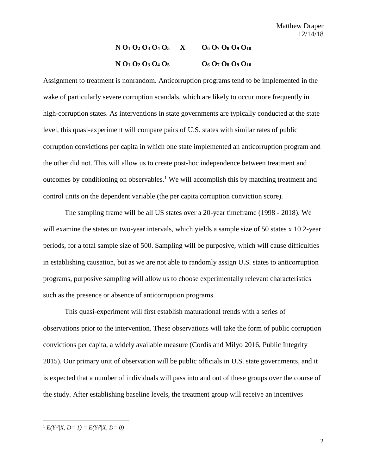# **N O<sup>1</sup> O<sup>2</sup> O<sup>3</sup> O<sup>4</sup> O<sup>5</sup> X O<sup>6</sup> O<sup>7</sup> O<sup>8</sup> O<sup>9</sup> O<sup>10</sup> N**  $O_1$   $O_2$   $O_3$   $O_4$   $O_5$  **b**  $O_6$   $O_7$   $O_8$   $O_9$   $O_{10}$

Assignment to treatment is nonrandom. Anticorruption programs tend to be implemented in the wake of particularly severe corruption scandals, which are likely to occur more frequently in high-corruption states. As interventions in state governments are typically conducted at the state level, this quasi-experiment will compare pairs of U.S. states with similar rates of public corruption convictions per capita in which one state implemented an anticorruption program and the other did not. This will allow us to create post-hoc independence between treatment and outcomes by conditioning on observables.<sup>1</sup> We will accomplish this by matching treatment and control units on the dependent variable (the per capita corruption conviction score).

The sampling frame will be all US states over a 20-year timeframe (1998 - 2018). We will examine the states on two-year intervals, which yields a sample size of 50 states x 10 2-year periods, for a total sample size of 500. Sampling will be purposive, which will cause difficulties in establishing causation, but as we are not able to randomly assign U.S. states to anticorruption programs, purposive sampling will allow us to choose experimentally relevant characteristics such as the presence or absence of anticorruption programs.

This quasi-experiment will first establish maturational trends with a series of observations prior to the intervention. These observations will take the form of public corruption convictions per capita, a widely available measure (Cordis and Milyo 2016, Public Integrity 2015). Our primary unit of observation will be public officials in U.S. state governments, and it is expected that a number of individuals will pass into and out of these groups over the course of the study. After establishing baseline levels, the treatment group will receive an incentives

 $\overline{\phantom{a}}$ 

 $E(Y_i^0|X, D=1) = E(Y_i^0|X, D=0)$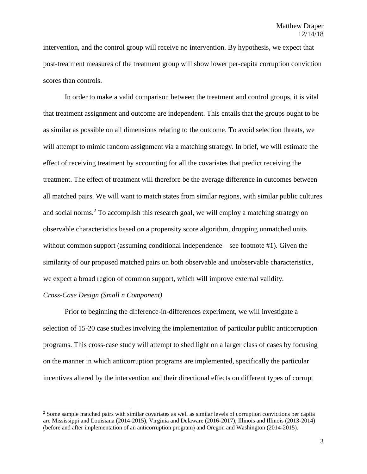intervention, and the control group will receive no intervention. By hypothesis, we expect that post-treatment measures of the treatment group will show lower per-capita corruption conviction scores than controls.

In order to make a valid comparison between the treatment and control groups, it is vital that treatment assignment and outcome are independent. This entails that the groups ought to be as similar as possible on all dimensions relating to the outcome. To avoid selection threats, we will attempt to mimic random assignment via a matching strategy. In brief, we will estimate the effect of receiving treatment by accounting for all the covariates that predict receiving the treatment. The effect of treatment will therefore be the average difference in outcomes between all matched pairs. We will want to match states from similar regions, with similar public cultures and social norms.<sup>2</sup> To accomplish this research goal, we will employ a matching strategy on observable characteristics based on a propensity score algorithm, dropping unmatched units without common support (assuming conditional independence – see footnote #1). Given the similarity of our proposed matched pairs on both observable and unobservable characteristics, we expect a broad region of common support, which will improve external validity.

# *Cross-Case Design (Small n Component)*

 $\overline{\phantom{a}}$ 

Prior to beginning the difference-in-differences experiment, we will investigate a selection of 15-20 case studies involving the implementation of particular public anticorruption programs. This cross-case study will attempt to shed light on a larger class of cases by focusing on the manner in which anticorruption programs are implemented, specifically the particular incentives altered by the intervention and their directional effects on different types of corrupt

<sup>2</sup> Some sample matched pairs with similar covariates as well as similar levels of corruption convictions per capita are Mississippi and Louisiana (2014-2015), Virginia and Delaware (2016-2017), Illinois and Illinois (2013-2014) (before and after implementation of an anticorruption program) and Oregon and Washington (2014-2015).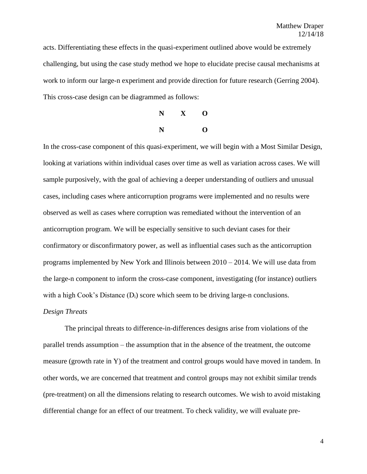acts. Differentiating these effects in the quasi-experiment outlined above would be extremely challenging, but using the case study method we hope to elucidate precise causal mechanisms at work to inform our large-n experiment and provide direction for future research (Gerring 2004). This cross-case design can be diagrammed as follows:



In the cross-case component of this quasi-experiment, we will begin with a Most Similar Design, looking at variations within individual cases over time as well as variation across cases. We will sample purposively, with the goal of achieving a deeper understanding of outliers and unusual cases, including cases where anticorruption programs were implemented and no results were observed as well as cases where corruption was remediated without the intervention of an anticorruption program. We will be especially sensitive to such deviant cases for their confirmatory or disconfirmatory power, as well as influential cases such as the anticorruption programs implemented by New York and Illinois between 2010 – 2014. We will use data from the large-n component to inform the cross-case component, investigating (for instance) outliers with a high Cook's Distance  $(D_i)$  score which seem to be driving large-n conclusions.

# *Design Threats*

The principal threats to difference-in-differences designs arise from violations of the parallel trends assumption – the assumption that in the absence of the treatment, the outcome measure (growth rate in Y) of the treatment and control groups would have moved in tandem. In other words, we are concerned that treatment and control groups may not exhibit similar trends (pre-treatment) on all the dimensions relating to research outcomes. We wish to avoid mistaking differential change for an effect of our treatment. To check validity, we will evaluate pre-

4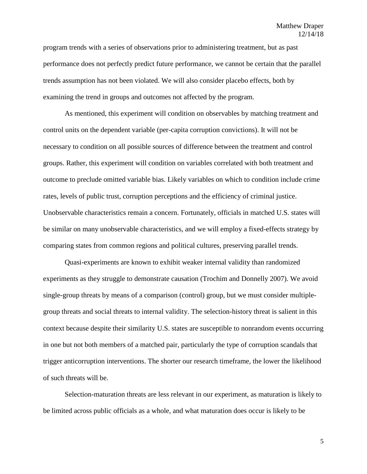program trends with a series of observations prior to administering treatment, but as past performance does not perfectly predict future performance, we cannot be certain that the parallel trends assumption has not been violated. We will also consider placebo effects, both by examining the trend in groups and outcomes not affected by the program.

As mentioned, this experiment will condition on observables by matching treatment and control units on the dependent variable (per-capita corruption convictions). It will not be necessary to condition on all possible sources of difference between the treatment and control groups. Rather, this experiment will condition on variables correlated with both treatment and outcome to preclude omitted variable bias. Likely variables on which to condition include crime rates, levels of public trust, corruption perceptions and the efficiency of criminal justice. Unobservable characteristics remain a concern. Fortunately, officials in matched U.S. states will be similar on many unobservable characteristics, and we will employ a fixed-effects strategy by comparing states from common regions and political cultures, preserving parallel trends.

Quasi-experiments are known to exhibit weaker internal validity than randomized experiments as they struggle to demonstrate causation (Trochim and Donnelly 2007). We avoid single-group threats by means of a comparison (control) group, but we must consider multiplegroup threats and social threats to internal validity. The selection-history threat is salient in this context because despite their similarity U.S. states are susceptible to nonrandom events occurring in one but not both members of a matched pair, particularly the type of corruption scandals that trigger anticorruption interventions. The shorter our research timeframe, the lower the likelihood of such threats will be.

Selection-maturation threats are less relevant in our experiment, as maturation is likely to be limited across public officials as a whole, and what maturation does occur is likely to be

5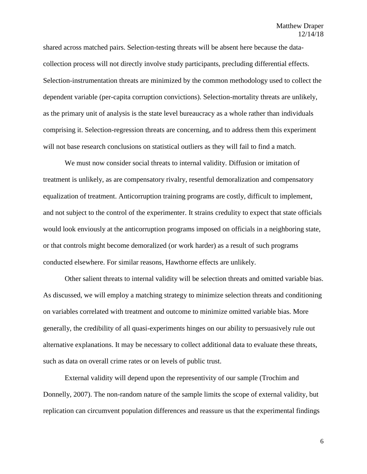shared across matched pairs. Selection-testing threats will be absent here because the datacollection process will not directly involve study participants, precluding differential effects. Selection-instrumentation threats are minimized by the common methodology used to collect the dependent variable (per-capita corruption convictions). Selection-mortality threats are unlikely, as the primary unit of analysis is the state level bureaucracy as a whole rather than individuals comprising it. Selection-regression threats are concerning, and to address them this experiment will not base research conclusions on statistical outliers as they will fail to find a match.

We must now consider social threats to internal validity. Diffusion or imitation of treatment is unlikely, as are compensatory rivalry, resentful demoralization and compensatory equalization of treatment. Anticorruption training programs are costly, difficult to implement, and not subject to the control of the experimenter. It strains credulity to expect that state officials would look enviously at the anticorruption programs imposed on officials in a neighboring state, or that controls might become demoralized (or work harder) as a result of such programs conducted elsewhere. For similar reasons, Hawthorne effects are unlikely.

Other salient threats to internal validity will be selection threats and omitted variable bias. As discussed, we will employ a matching strategy to minimize selection threats and conditioning on variables correlated with treatment and outcome to minimize omitted variable bias. More generally, the credibility of all quasi-experiments hinges on our ability to persuasively rule out alternative explanations. It may be necessary to collect additional data to evaluate these threats, such as data on overall crime rates or on levels of public trust.

External validity will depend upon the representivity of our sample (Trochim and Donnelly, 2007). The non-random nature of the sample limits the scope of external validity, but replication can circumvent population differences and reassure us that the experimental findings

6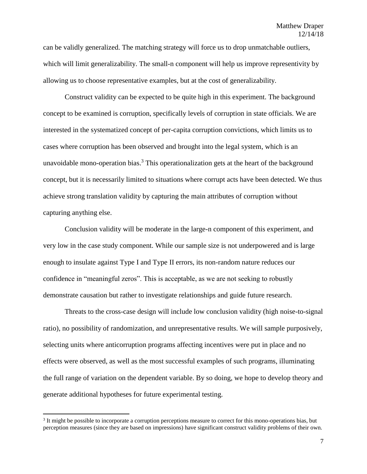can be validly generalized. The matching strategy will force us to drop unmatchable outliers, which will limit generalizability. The small-n component will help us improve representivity by allowing us to choose representative examples, but at the cost of generalizability.

Construct validity can be expected to be quite high in this experiment. The background concept to be examined is corruption, specifically levels of corruption in state officials. We are interested in the systematized concept of per-capita corruption convictions, which limits us to cases where corruption has been observed and brought into the legal system, which is an unavoidable mono-operation bias.<sup>3</sup> This operationalization gets at the heart of the background concept, but it is necessarily limited to situations where corrupt acts have been detected. We thus achieve strong translation validity by capturing the main attributes of corruption without capturing anything else.

Conclusion validity will be moderate in the large-n component of this experiment, and very low in the case study component. While our sample size is not underpowered and is large enough to insulate against Type I and Type II errors, its non-random nature reduces our confidence in "meaningful zeros". This is acceptable, as we are not seeking to robustly demonstrate causation but rather to investigate relationships and guide future research.

Threats to the cross-case design will include low conclusion validity (high noise-to-signal ratio), no possibility of randomization, and unrepresentative results. We will sample purposively, selecting units where anticorruption programs affecting incentives were put in place and no effects were observed, as well as the most successful examples of such programs, illuminating the full range of variation on the dependent variable. By so doing, we hope to develop theory and generate additional hypotheses for future experimental testing.

 $\overline{a}$ 

<sup>&</sup>lt;sup>3</sup> It might be possible to incorporate a corruption perceptions measure to correct for this mono-operations bias, but perception measures (since they are based on impressions) have significant construct validity problems of their own.